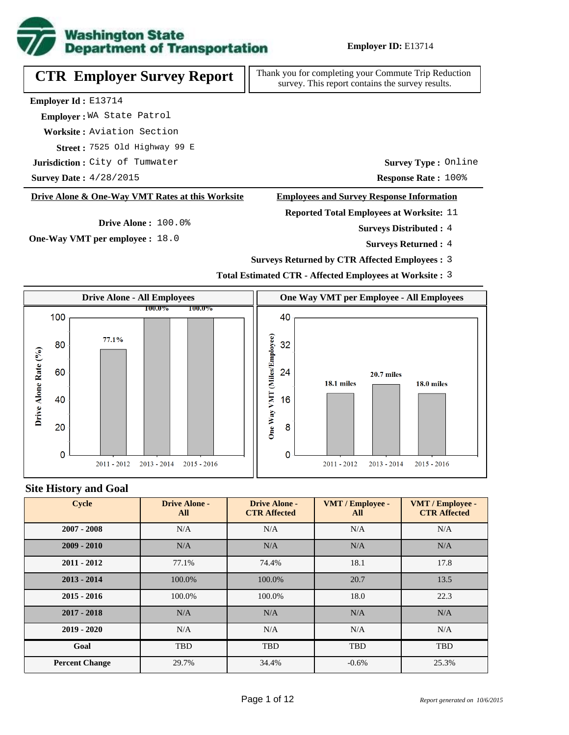

**CTR Employer Survey Report**

Thank you for completing your Commute Trip Reduction survey. This report contains the survey results.

**Employer Id :** E13714

 **Employer :** WA State Patrol

**Worksite :** Aviation Section

7525 Old Highway 99 E **Street :**

 $\textbf{Jurisdiction:}$  City of Tumwater

**Survey Date :**

#### **Drive Alone & One-Way VMT Rates at this Worksite**

**Drive Alone :** 100.0%

**One-Way VMT per employee :** 18.0

**Survey Type :** Online

**Response Rate :** 100% **Response Rate : 100%** 

### **Employees and Survey Response Information**

**Reported Total Employees at Worksite:** 11

4 **Surveys Distributed :**

**Surveys Returned :** 4

- **Surveys Returned by CTR Affected Employees :** 3
- **Total Estimated CTR Affected Employees at Worksite :** 3



#### **Site History and Goal**

| <b>Cycle</b>          | <b>Drive Alone -</b><br>All | <b>Drive Alone -</b><br><b>CTR Affected</b> | VMT / Employee -<br>All | VMT / Employee -<br><b>CTR Affected</b> |
|-----------------------|-----------------------------|---------------------------------------------|-------------------------|-----------------------------------------|
| $2007 - 2008$         | N/A                         | N/A                                         | N/A                     | N/A                                     |
| $2009 - 2010$         | N/A                         | N/A                                         | N/A                     | N/A                                     |
| $2011 - 2012$         | 77.1%                       | 74.4%                                       | 18.1                    | 17.8                                    |
| $2013 - 2014$         | 100.0%                      | 100.0%                                      | 20.7                    | 13.5                                    |
| $2015 - 2016$         | 100.0%                      | 100.0%                                      | 18.0                    | 22.3                                    |
| $2017 - 2018$         | N/A                         | N/A                                         | N/A                     | N/A                                     |
| $2019 - 2020$         | N/A                         | N/A                                         | N/A                     | N/A                                     |
| Goal                  | <b>TBD</b>                  | <b>TBD</b>                                  | <b>TBD</b>              | <b>TBD</b>                              |
| <b>Percent Change</b> | 29.7%                       | 34.4%                                       | $-0.6%$                 | 25.3%                                   |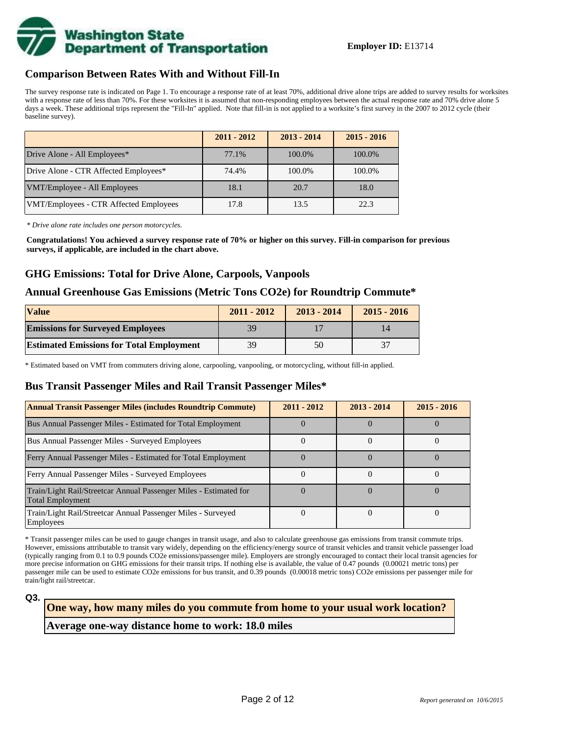

#### **Comparison Between Rates With and Without Fill-In**

The survey response rate is indicated on Page 1. To encourage a response rate of at least 70%, additional drive alone trips are added to survey results for worksites with a response rate of less than 70%. For these worksites it is assumed that non-responding employees between the actual response rate and 70% drive alone 5 days a week. These additional trips represent the "Fill-In" applied. Note that fill-in is not applied to a worksite's first survey in the 2007 to 2012 cycle (their baseline survey).

|                                        | $2011 - 2012$ | $2013 - 2014$ | $2015 - 2016$ |
|----------------------------------------|---------------|---------------|---------------|
| Drive Alone - All Employees*           | 77.1%         | 100.0%        | 100.0%        |
| Drive Alone - CTR Affected Employees*  | 74.4%         | 100.0%        | 100.0%        |
| VMT/Employee - All Employees           | 18.1          | 20.7          | 18.0          |
| VMT/Employees - CTR Affected Employees | 17.8          | 13.5          | 22.3          |

*\* Drive alone rate includes one person motorcycles.*

**Congratulations! You achieved a survey response rate of 70% or higher on this survey. Fill-in comparison for previous surveys, if applicable, are included in the chart above.**

### **GHG Emissions: Total for Drive Alone, Carpools, Vanpools**

### **Annual Greenhouse Gas Emissions (Metric Tons CO2e) for Roundtrip Commute\***

| <b>Value</b>                                    | $2011 - 2012$ | $2013 - 2014$ | $2015 - 2016$ |
|-------------------------------------------------|---------------|---------------|---------------|
| <b>Emissions for Surveyed Employees</b>         | 39            |               |               |
| <b>Estimated Emissions for Total Employment</b> | 39            | 50            |               |

\* Estimated based on VMT from commuters driving alone, carpooling, vanpooling, or motorcycling, without fill-in applied.

### **Bus Transit Passenger Miles and Rail Transit Passenger Miles\***

| <b>Annual Transit Passenger Miles (includes Roundtrip Commute)</b>                           | $2011 - 2012$ | $2013 - 2014$ | $2015 - 2016$ |
|----------------------------------------------------------------------------------------------|---------------|---------------|---------------|
| Bus Annual Passenger Miles - Estimated for Total Employment                                  |               |               |               |
| <b>Bus Annual Passenger Miles - Surveyed Employees</b>                                       |               |               |               |
| Ferry Annual Passenger Miles - Estimated for Total Employment                                |               |               |               |
| Ferry Annual Passenger Miles - Surveyed Employees                                            |               |               |               |
| Train/Light Rail/Streetcar Annual Passenger Miles - Estimated for<br><b>Total Employment</b> |               |               |               |
| Train/Light Rail/Streetcar Annual Passenger Miles - Surveyed<br>Employees                    |               |               |               |

\* Transit passenger miles can be used to gauge changes in transit usage, and also to calculate greenhouse gas emissions from transit commute trips. However, emissions attributable to transit vary widely, depending on the efficiency/energy source of transit vehicles and transit vehicle passenger load (typically ranging from 0.1 to 0.9 pounds CO2e emissions/passenger mile). Employers are strongly encouraged to contact their local transit agencies for more precise information on GHG emissions for their transit trips. If nothing else is available, the value of 0.47 pounds (0.00021 metric tons) per passenger mile can be used to estimate CO2e emissions for bus transit, and 0.39 pounds (0.00018 metric tons) CO2e emissions per passenger mile for train/light rail/streetcar.

# **Average one-way distance home to work: 18.0 miles One way, how many miles do you commute from home to your usual work location?**

**Q3.**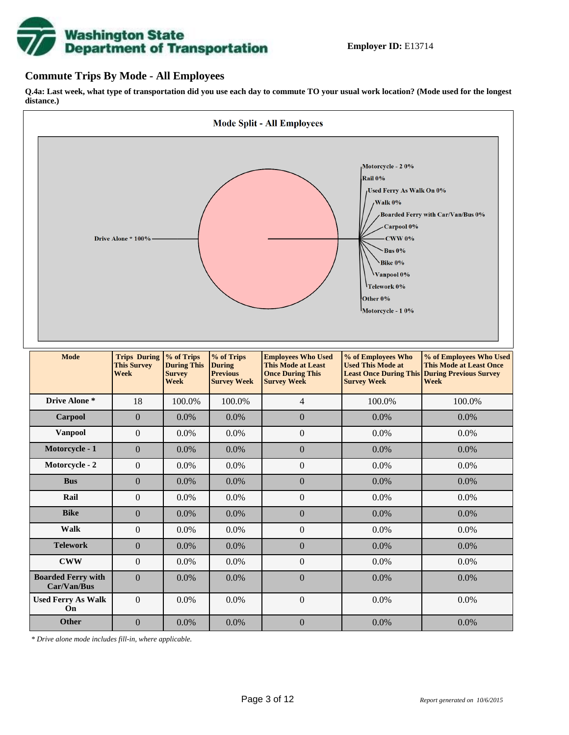

### **Commute Trips By Mode - All Employees**

**Q.4a: Last week, what type of transportation did you use each day to commute TO your usual work location? (Mode used for the longest distance.)**



*\* Drive alone mode includes fill-in, where applicable.*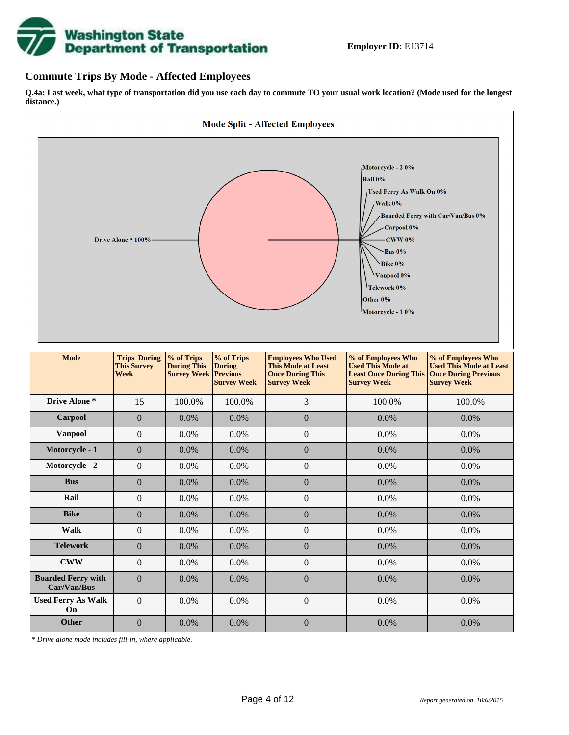

### **Commute Trips By Mode - Affected Employees**

**Q.4a: Last week, what type of transportation did you use each day to commute TO your usual work location? (Mode used for the longest distance.)**



*\* Drive alone mode includes fill-in, where applicable.*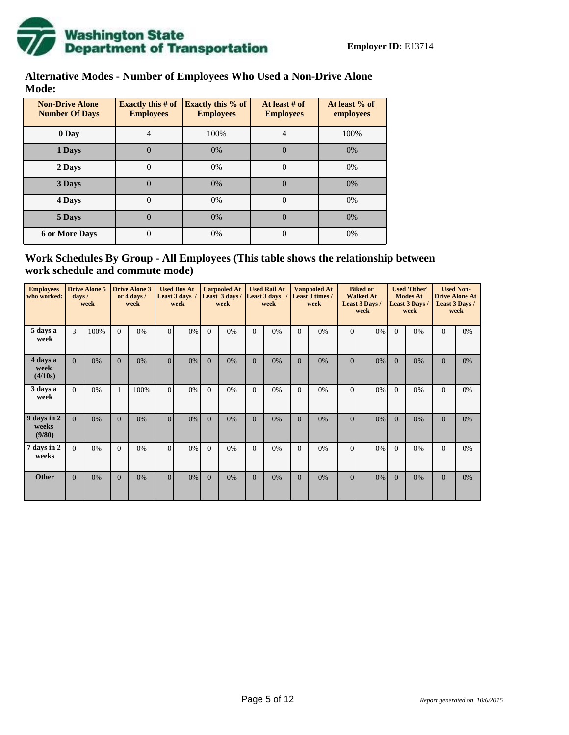

### **Alternative Modes - Number of Employees Who Used a Non-Drive Alone Mode:**

| <b>Non-Drive Alone</b><br><b>Number Of Days</b> | <b>Exactly this # of</b><br><b>Employees</b> | <b>Exactly this % of</b><br><b>Employees</b> | At least # of<br><b>Employees</b> | At least % of<br>employees |
|-------------------------------------------------|----------------------------------------------|----------------------------------------------|-----------------------------------|----------------------------|
| 0 Day                                           | 4                                            | 100%                                         | 4                                 | 100%                       |
| 1 Days                                          | 0                                            | 0%                                           | $\Omega$                          | 0%                         |
| 2 Days                                          | $\theta$                                     | 0%                                           | $\Omega$                          | 0%                         |
| 3 Days                                          |                                              | 0%                                           | $\Omega$                          | 0%                         |
| 4 Days                                          | 0                                            | 0%                                           | 0                                 | 0%                         |
| 5 Days                                          | 0                                            | 0%                                           | $\Omega$                          | 0%                         |
| <b>6 or More Days</b>                           | 0                                            | 0%                                           | 0                                 | 0%                         |

### **Work Schedules By Group - All Employees (This table shows the relationship between work schedule and commute mode)**

| <b>Employees</b><br>who worked: | $_{\rm days}$ / | <b>Drive Alone 5</b><br>week |                | <b>Drive Alone 3</b><br>or 4 days /<br>week |          | <b>Used Bus At</b><br>Least 3 days<br>week |              | <b>Carpooled At</b><br>Least 3 days /<br>week | <b>Used Rail At</b><br><b>Least 3 days</b><br>week |    | <b>Vanpooled At</b><br>Least 3 times /<br>week |    |                |       | <b>Biked or</b><br><b>Walked At</b><br>Least 3 Days /<br>week |    | <b>Used 'Other'</b><br><b>Modes At</b><br>Least 3 Days /<br>week |    | <b>Used Non-</b><br><b>Drive Alone At</b><br>Least 3 Days /<br>week |  |
|---------------------------------|-----------------|------------------------------|----------------|---------------------------------------------|----------|--------------------------------------------|--------------|-----------------------------------------------|----------------------------------------------------|----|------------------------------------------------|----|----------------|-------|---------------------------------------------------------------|----|------------------------------------------------------------------|----|---------------------------------------------------------------------|--|
| 5 days a<br>week                | 3               | 100%                         | $\Omega$       | 0%                                          | $\Omega$ | $0\%$                                      | $\Omega$     | 0%                                            | $\Omega$                                           | 0% | $\Omega$                                       | 0% | $\Omega$       | 0%    | $\Omega$                                                      | 0% | $\Omega$                                                         | 0% |                                                                     |  |
| 4 days a<br>week<br>(4/10s)     | $\Omega$        | 0%                           | $\Omega$       | 0%                                          | $\Omega$ | $0\%$                                      | $\Omega$     | 0%                                            | $\Omega$                                           | 0% | $\Omega$                                       | 0% | $\Omega$       | $0\%$ | $\Omega$                                                      | 0% | $\Omega$                                                         | 0% |                                                                     |  |
| 3 days a<br>week                | $\Omega$        | 0%                           | 1              | 100%                                        | $\Omega$ | $0\%$                                      | $\Omega$     | 0%                                            | $\Omega$                                           | 0% | $\Omega$                                       | 0% | $\Omega$       | 0%    | $\Omega$                                                      | 0% | $\Omega$                                                         | 0% |                                                                     |  |
| 9 days in 2<br>weeks<br>(9/80)  | $\Omega$        | 0%                           | $\Omega$       | 0%                                          | $\Omega$ | $0\%$                                      | $\Omega$     | 0%                                            | $\Omega$                                           | 0% | $\Omega$                                       | 0% | $\Omega$       | $0\%$ | $\Omega$                                                      | 0% | $\Omega$                                                         | 0% |                                                                     |  |
| 7 days in 2<br>weeks            | $\Omega$        | 0%                           | $\Omega$       | 0%                                          | $\Omega$ | $0\%$                                      | $\Omega$     | 0%                                            | $\Omega$                                           | 0% | $\Omega$                                       | 0% | $\Omega$       | 0%    | $\Omega$                                                      | 0% | $\Omega$                                                         | 0% |                                                                     |  |
| <b>Other</b>                    | $\overline{0}$  | 0%                           | $\overline{0}$ | 0%                                          | $\Omega$ | $0\%$                                      | $\mathbf{0}$ | 0%                                            | $\mathbf{0}$                                       | 0% | $\Omega$                                       | 0% | $\overline{0}$ | $0\%$ | $\Omega$                                                      | 0% | $\Omega$                                                         | 0% |                                                                     |  |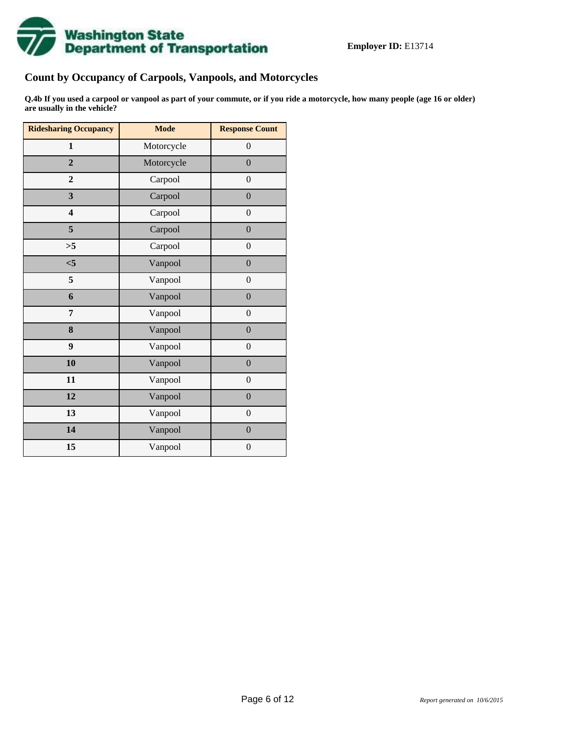

# **Count by Occupancy of Carpools, Vanpools, and Motorcycles**

**Q.4b If you used a carpool or vanpool as part of your commute, or if you ride a motorcycle, how many people (age 16 or older) are usually in the vehicle?**

| <b>Ridesharing Occupancy</b> | <b>Mode</b> | <b>Response Count</b> |
|------------------------------|-------------|-----------------------|
| $\mathbf{1}$                 | Motorcycle  | $\boldsymbol{0}$      |
| $\overline{2}$               | Motorcycle  | $\overline{0}$        |
| $\mathbf{2}$                 | Carpool     | $\boldsymbol{0}$      |
| $\overline{\mathbf{3}}$      | Carpool     | $\mathbf{0}$          |
| $\overline{\mathbf{4}}$      | Carpool     | $\boldsymbol{0}$      |
| 5                            | Carpool     | $\boldsymbol{0}$      |
| >5                           | Carpool     | $\overline{0}$        |
| < 5                          | Vanpool     | $\boldsymbol{0}$      |
| 5                            | Vanpool     | $\boldsymbol{0}$      |
| 6                            | Vanpool     | $\overline{0}$        |
| 7                            | Vanpool     | $\boldsymbol{0}$      |
| 8                            | Vanpool     | $\boldsymbol{0}$      |
| 9                            | Vanpool     | $\boldsymbol{0}$      |
| 10                           | Vanpool     | $\overline{0}$        |
| 11                           | Vanpool     | $\boldsymbol{0}$      |
| 12                           | Vanpool     | $\boldsymbol{0}$      |
| 13                           | Vanpool     | $\boldsymbol{0}$      |
| 14                           | Vanpool     | $\overline{0}$        |
| 15                           | Vanpool     | $\boldsymbol{0}$      |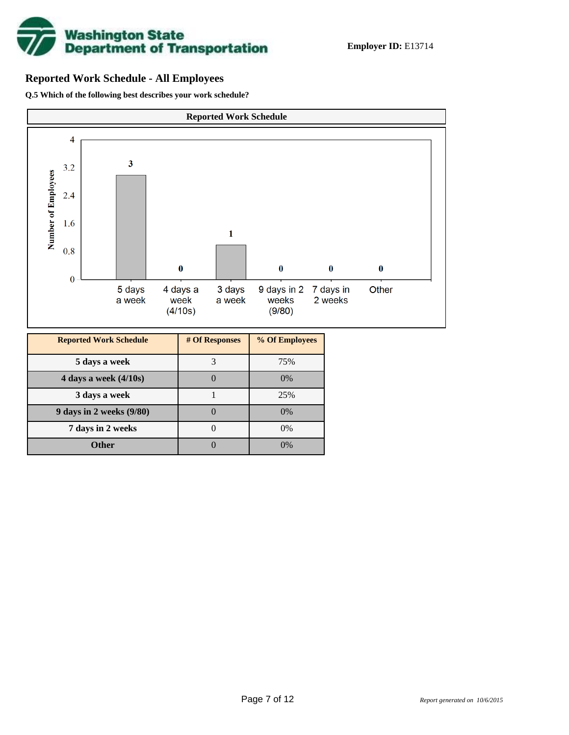

### **Reported Work Schedule - All Employees**

**Q.5 Which of the following best describes your work schedule?**



**7 days in 2 weeks** 0 0%

**Other** 0 0 0%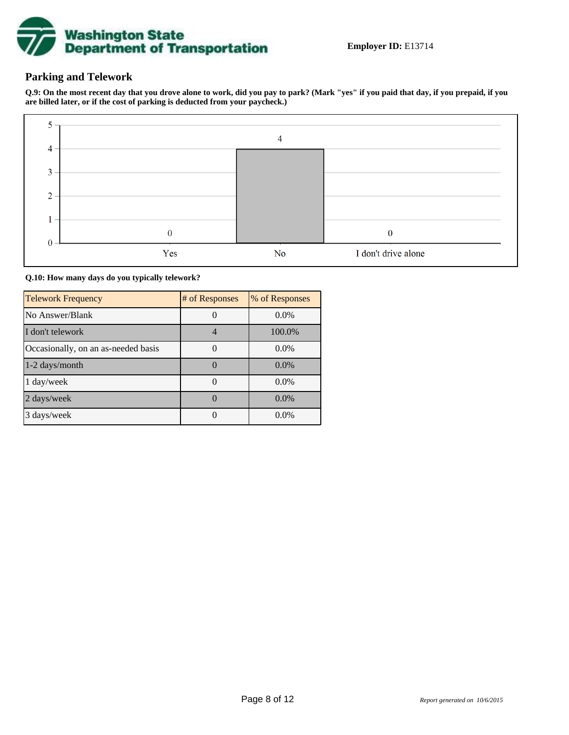

### **Parking and Telework**

**Q.9: On the most recent day that you drove alone to work, did you pay to park? (Mark "yes" if you paid that day, if you prepaid, if you are billed later, or if the cost of parking is deducted from your paycheck.)**



#### **Q.10: How many days do you typically telework?**

| <b>Telework Frequency</b>           | # of Responses | % of Responses |
|-------------------------------------|----------------|----------------|
| No Answer/Blank                     |                | $0.0\%$        |
| I don't telework                    |                | 100.0%         |
| Occasionally, on an as-needed basis |                | $0.0\%$        |
| $1-2$ days/month                    |                | $0.0\%$        |
| $1 \text{ day/week}$                |                | $0.0\%$        |
| 2 days/week                         |                | 0.0%           |
| 3 days/week                         |                | $0.0\%$        |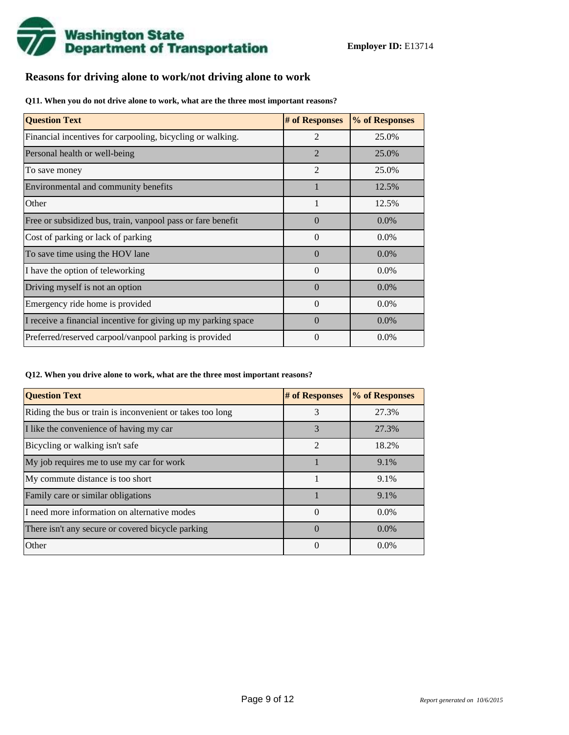

### **Reasons for driving alone to work/not driving alone to work**

**Q11. When you do not drive alone to work, what are the three most important reasons?**

| <b>Question Text</b>                                           | # of Responses | % of Responses |
|----------------------------------------------------------------|----------------|----------------|
| Financial incentives for carpooling, bicycling or walking.     | $\mathfrak{D}$ | 25.0%          |
| Personal health or well-being                                  | $\overline{2}$ | 25.0%          |
| To save money                                                  | $\overline{2}$ | 25.0%          |
| Environmental and community benefits                           |                | 12.5%          |
| Other                                                          |                | 12.5%          |
| Free or subsidized bus, train, vanpool pass or fare benefit    | $\Omega$       | $0.0\%$        |
| Cost of parking or lack of parking                             | $\Omega$       | $0.0\%$        |
| To save time using the HOV lane                                | $\Omega$       | $0.0\%$        |
| I have the option of teleworking                               | $\theta$       | 0.0%           |
| Driving myself is not an option                                | $\Omega$       | $0.0\%$        |
| Emergency ride home is provided                                | $\Omega$       | $0.0\%$        |
| I receive a financial incentive for giving up my parking space | $\Omega$       | 0.0%           |
| Preferred/reserved carpool/vanpool parking is provided         | $\theta$       | $0.0\%$        |

**Q12. When you drive alone to work, what are the three most important reasons?**

| <b>Question Text</b>                                      | # of Responses   | % of Responses |
|-----------------------------------------------------------|------------------|----------------|
| Riding the bus or train is inconvenient or takes too long | 3                | 27.3%          |
| I like the convenience of having my car                   | 3                | 27.3%          |
| Bicycling or walking isn't safe                           | $\mathfrak{D}$   | 18.2%          |
| My job requires me to use my car for work                 |                  | 9.1%           |
| My commute distance is too short                          |                  | 9.1%           |
| Family care or similar obligations                        |                  | 9.1%           |
| I need more information on alternative modes              | $\theta$         | $0.0\%$        |
| There isn't any secure or covered bicycle parking         | $\left( \right)$ | $0.0\%$        |
| Other                                                     | $\Omega$         | $0.0\%$        |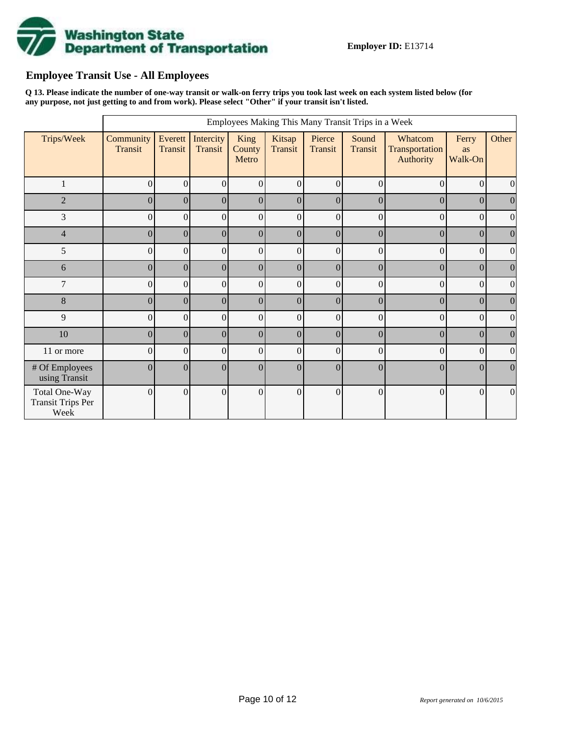

# **Employee Transit Use - All Employees**

**Q 13. Please indicate the number of one-way transit or walk-on ferry trips you took last week on each system listed below (for any purpose, not just getting to and from work). Please select "Other" if your transit isn't listed.**

|                                                   |                      |                    |                      |                         |                   |                   | Employees Making This Many Transit Trips in a Week |                                        |                        |                  |
|---------------------------------------------------|----------------------|--------------------|----------------------|-------------------------|-------------------|-------------------|----------------------------------------------------|----------------------------------------|------------------------|------------------|
| Trips/Week                                        | Community<br>Transit | Everett<br>Transit | Intercity<br>Transit | King<br>County<br>Metro | Kitsap<br>Transit | Pierce<br>Transit | Sound<br><b>Transit</b>                            | Whatcom<br>Transportation<br>Authority | Ferry<br>as<br>Walk-On | Other            |
| 1                                                 | 0                    | $\theta$           | $\overline{0}$       | $\Omega$                | $\Omega$          | $\theta$          | $\theta$                                           | $\theta$                               | $\overline{0}$         | $\Omega$         |
| $\overline{2}$                                    | $\Omega$             | $\boldsymbol{0}$   | $\vert 0 \vert$      | $\Omega$                | $\Omega$          | $\theta$          | $\overline{0}$                                     | $\overline{0}$                         | $\Omega$               | $\boldsymbol{0}$ |
| 3                                                 | 0                    | $\overline{0}$     | $\overline{0}$       | $\overline{0}$          | $\Omega$          | $\Omega$          | $\theta$                                           | $\theta$                               | $\Omega$               | $\overline{0}$   |
| $\overline{4}$                                    | 0                    | $\boldsymbol{0}$   | $\vert 0 \vert$      | $\Omega$                | $\Omega$          | $\theta$          | $\overline{0}$                                     | $\overline{0}$                         | $\Omega$               | $\boldsymbol{0}$ |
| 5                                                 | 0                    | $\mathbf{0}$       | $\overline{0}$       | $\vert 0 \vert$         | $\overline{0}$    | $\theta$          | $\overline{0}$                                     | $\overline{0}$                         | $\Omega$               | $\overline{0}$   |
| 6                                                 | $\overline{0}$       | $\boldsymbol{0}$   | $\vert 0 \vert$      | 0                       | $\Omega$          | $\theta$          | $\overline{0}$                                     | $\Omega$                               | $\Omega$               | $\boldsymbol{0}$ |
| 7                                                 | 0                    | $\mathbf{0}$       | $\overline{0}$       | $\overline{0}$          | $\Omega$          | $\theta$          | $\overline{0}$                                     | $\Omega$                               | $\Omega$               | $\boldsymbol{0}$ |
| $8\,$                                             | 0                    | $\boldsymbol{0}$   | $\vert 0 \vert$      | 0                       | $\overline{0}$    | $\overline{0}$    | $\overline{0}$                                     | $\overline{0}$                         | $\overline{0}$         | $\overline{0}$   |
| 9                                                 | 0                    | $\boldsymbol{0}$   | $\overline{0}$       | $\overline{0}$          | $\vert 0 \vert$   | $\overline{0}$    | $\overline{0}$                                     | $\overline{0}$                         | $\vert 0 \vert$        | $\overline{0}$   |
| 10                                                | $\overline{0}$       | $\boldsymbol{0}$   | $\vert 0 \vert$      | 0                       | 0                 | $\Omega$          | $\overline{0}$                                     | $\theta$                               | $\Omega$               | $\boldsymbol{0}$ |
| 11 or more                                        | $\theta$             | $\boldsymbol{0}$   | $\overline{0}$       | $\Omega$                | $\Omega$          | $\theta$          | $\theta$                                           | $\Omega$                               | $\Omega$               | $\boldsymbol{0}$ |
| # Of Employees<br>using Transit                   | 0                    | $\mathbf{0}$       | $\theta$             | $\Omega$                | $\overline{0}$    | $\overline{0}$    | $\overline{0}$                                     | $\overline{0}$                         | $\theta$               | $\Omega$         |
| Total One-Way<br><b>Transit Trips Per</b><br>Week | $\Omega$             | $\mathbf{0}$       | $\theta$             | $\overline{0}$          | $\vert 0 \vert$   | $\theta$          | $\overline{0}$                                     | $\Omega$                               | $\overline{0}$         | $\mathbf{0}$     |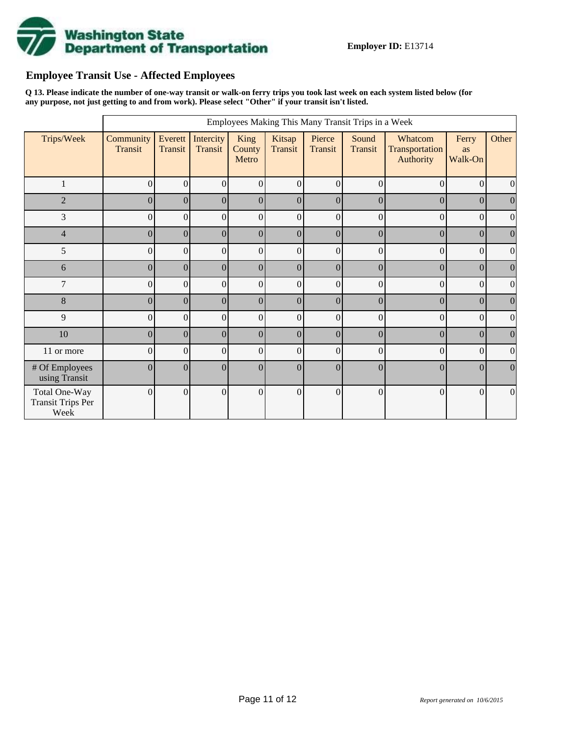

# **Employee Transit Use - Affected Employees**

**Q 13. Please indicate the number of one-way transit or walk-on ferry trips you took last week on each system listed below (for any purpose, not just getting to and from work). Please select "Other" if your transit isn't listed.**

|                                                   |                      |                    |                      |                         |                   |                   | Employees Making This Many Transit Trips in a Week |                                        |                        |                  |
|---------------------------------------------------|----------------------|--------------------|----------------------|-------------------------|-------------------|-------------------|----------------------------------------------------|----------------------------------------|------------------------|------------------|
| Trips/Week                                        | Community<br>Transit | Everett<br>Transit | Intercity<br>Transit | King<br>County<br>Metro | Kitsap<br>Transit | Pierce<br>Transit | Sound<br><b>Transit</b>                            | Whatcom<br>Transportation<br>Authority | Ferry<br>as<br>Walk-On | Other            |
| 1                                                 | $\Omega$             | $\theta$           | $\Omega$             | $\Omega$                | $\Omega$          | $\theta$          | $\theta$                                           | $\theta$                               | $\overline{0}$         | $\Omega$         |
| $\overline{2}$                                    | $\Omega$             | $\mathbf{0}$       | $\overline{0}$       | $\Omega$                | $\Omega$          | $\Omega$          | $\overline{0}$                                     | $\overline{0}$                         | $\Omega$               | $\overline{0}$   |
| 3                                                 | $\Omega$             | $\overline{0}$     | $\mathbf{0}$         | $\overline{0}$          | $\Omega$          | $\Omega$          | $\theta$                                           | $\Omega$                               | $\overline{0}$         | $\mathbf{0}$     |
| $\overline{4}$                                    | $\Omega$             | $\mathbf{0}$       | $\mathbf{0}$         | $\Omega$                | $\Omega$          | $\theta$          | $\overline{0}$                                     | $\overline{0}$                         | $\Omega$               | $\boldsymbol{0}$ |
| 5                                                 | $\overline{0}$       | $\mathbf{0}$       | $\boldsymbol{0}$     | $\vert 0 \vert$         | $\theta$          | $\theta$          | $\overline{0}$                                     | $\overline{0}$                         | $\Omega$               | $\overline{0}$   |
| 6                                                 | $\overline{0}$       | $\mathbf{0}$       | $\mathbf{0}$         | 0                       | $\Omega$          | $\theta$          | $\overline{0}$                                     | $\theta$                               | $\Omega$               | $\boldsymbol{0}$ |
| 7                                                 | $\overline{0}$       | $\mathbf{0}$       | $\boldsymbol{0}$     | $\overline{0}$          | $\Omega$          | $\theta$          | $\overline{0}$                                     | $\Omega$                               | $\Omega$               | $\boldsymbol{0}$ |
| $8\,$                                             | $\theta$             | $\overline{0}$     | $\mathbf{0}$         | $\vert 0 \vert$         | $\overline{0}$    | $\overline{0}$    | $\overline{0}$                                     | $\overline{0}$                         | $\overline{0}$         | $\overline{0}$   |
| 9                                                 | $\overline{0}$       | $\boldsymbol{0}$   | $\boldsymbol{0}$     | $\vert 0 \vert$         | $\vert 0 \vert$   | $\overline{0}$    | $\overline{0}$                                     | $\overline{0}$                         | $\vert 0 \vert$        | $\overline{0}$   |
| 10                                                | $\theta$             | $\mathbf{0}$       | $\mathbf{0}$         | 0                       | $\vert$ 0         | $\Omega$          | $\theta$                                           | $\vert 0 \vert$                        | $\Omega$               | $\mathbf{0}$     |
| 11 or more                                        | $\overline{0}$       | $\boldsymbol{0}$   | $\Omega$             | $\Omega$                | $\Omega$          | $\Omega$          | $\boldsymbol{0}$                                   | $\Omega$                               | $\Omega$               | $\mathbf{0}$     |
| # Of Employees<br>using Transit                   | $\overline{0}$       | $\boldsymbol{0}$   | $\boldsymbol{0}$     | $\Omega$                | $\theta$          | $\theta$          | $\overline{0}$                                     | $\overline{0}$                         | $\theta$               | $\Omega$         |
| Total One-Way<br><b>Transit Trips Per</b><br>Week | $\Omega$             | $\boldsymbol{0}$   | $\Omega$             | $\overline{0}$          | $\theta$          | $\theta$          | $\overline{0}$                                     | $\Omega$                               | $\overline{0}$         | $\mathbf{0}$     |